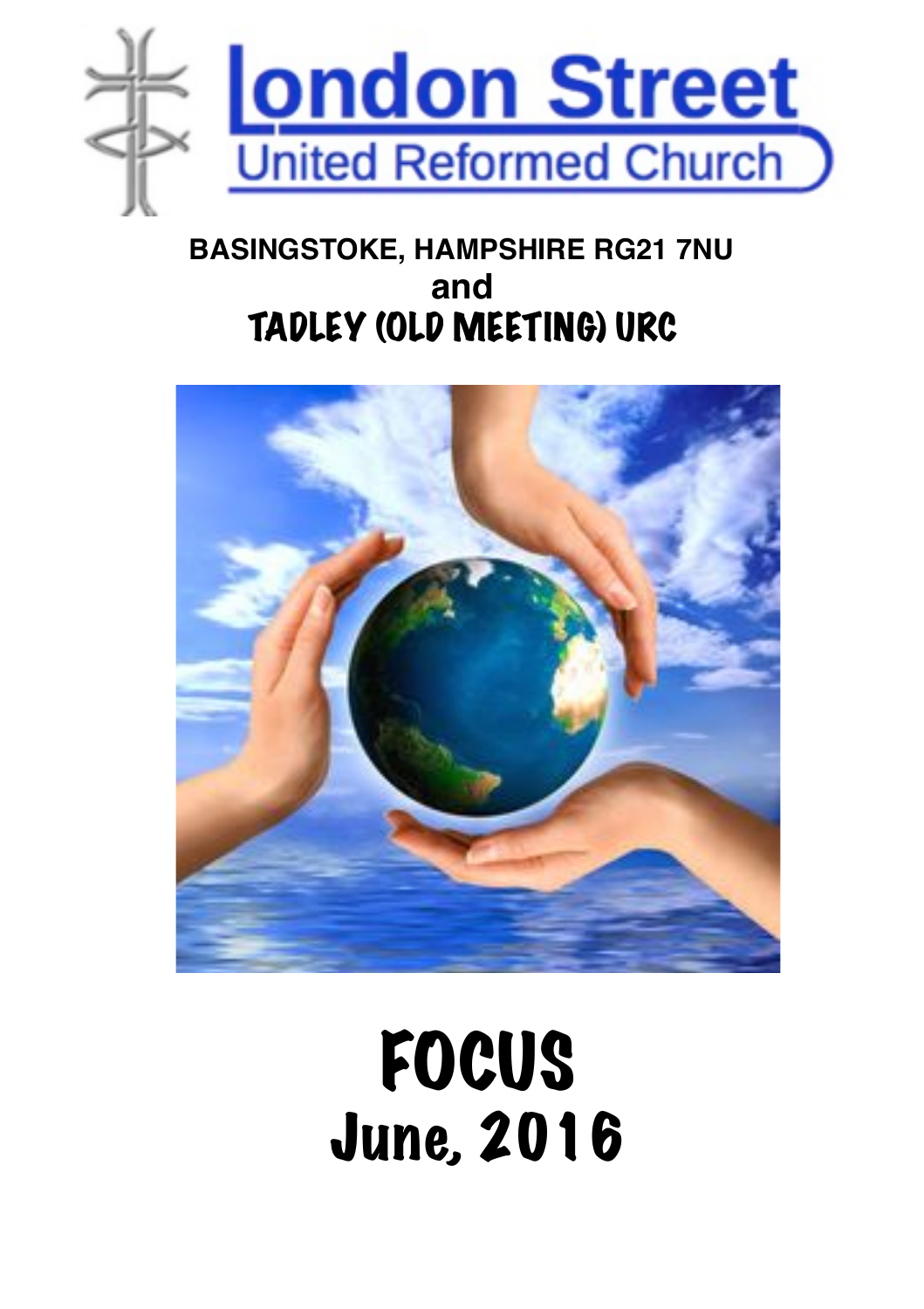

### **BASINGSTOKE, HAMPSHIRE RG21 7NU and** TADLEY (OLD MEETING) URC



FOCUS June, 2016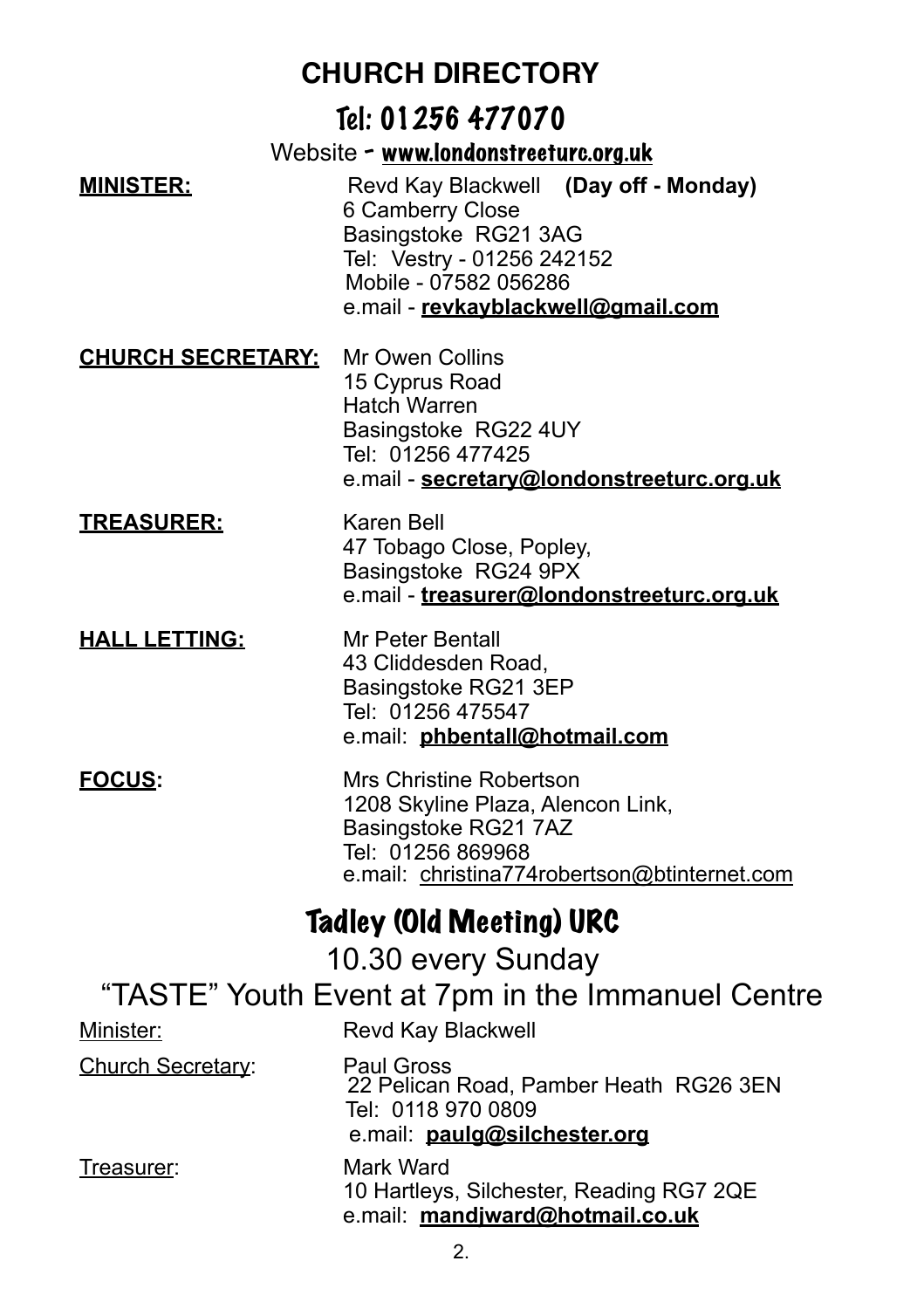#### Tel: 01256 477070

Website - [www.londonstreeturc.org.uk](http://www.londonstreeturc.org.uk)

**MINISTER:** Revd Kay Blackwell **(Day off - Monday)**  6 Camberry Close Basingstoke RG21 3AG Tel: Vestry - 01256 242152 Mobile - 07582 056286 e.mail - **[revkayblackwell@gmail.com](mailto:revkayblackwell@gmail.com)**

#### **CHURCH SECRETARY:** Mr Owen Collins

 15 Cyprus Road Hatch Warren Basingstoke RG22 4UY Tel: 01256 477425 e.mail - **[secretary@londonstreeturc.org.uk](mailto:secretary@londonstreeturc.org.uk)**

#### **TREASURER:** Karen Bell 47 Tobago Close, Popley, Basingstoke RG24 9PX e.mail - **[treasurer@londonstreeturc.org.uk](mailto:treasurer@londonstreeturc.org.uk)**

**HALL LETTING:** Mr Peter Bentall 43 Cliddesden Road, Basingstoke RG21 3EP Tel: 01256 475547 e.mail: **[phbentall@hotmail.com](mailto:phbentall@hotmail.com)**

#### **FOCUS:** Mrs Christine Robertson 1208 Skyline Plaza, Alencon Link, Basingstoke RG21 7AZ Tel: 01256 869968 e.mail: [christina774robertson@btinternet.com](mailto:christina774robertson@btinternet.com)

### Tadley (Old Meeting) URC

10.30 every Sunday

### "TASTE" Youth Event at 7pm in the Immanuel Centre

| Minister:         | Revd Kay Blackwell                                                                                         |
|-------------------|------------------------------------------------------------------------------------------------------------|
| Church Secretary: | Paul Gross<br>22 Pelican Road, Pamber Heath RG26 3EN<br>Tel: 0118 970 0809<br>e.mail: paulg@silchester.org |
| Treasurer:        | Mark Ward<br>10 Hartleys, Silchester, Reading RG7 2QE<br>e.mail: mandjward@hotmail.co.uk                   |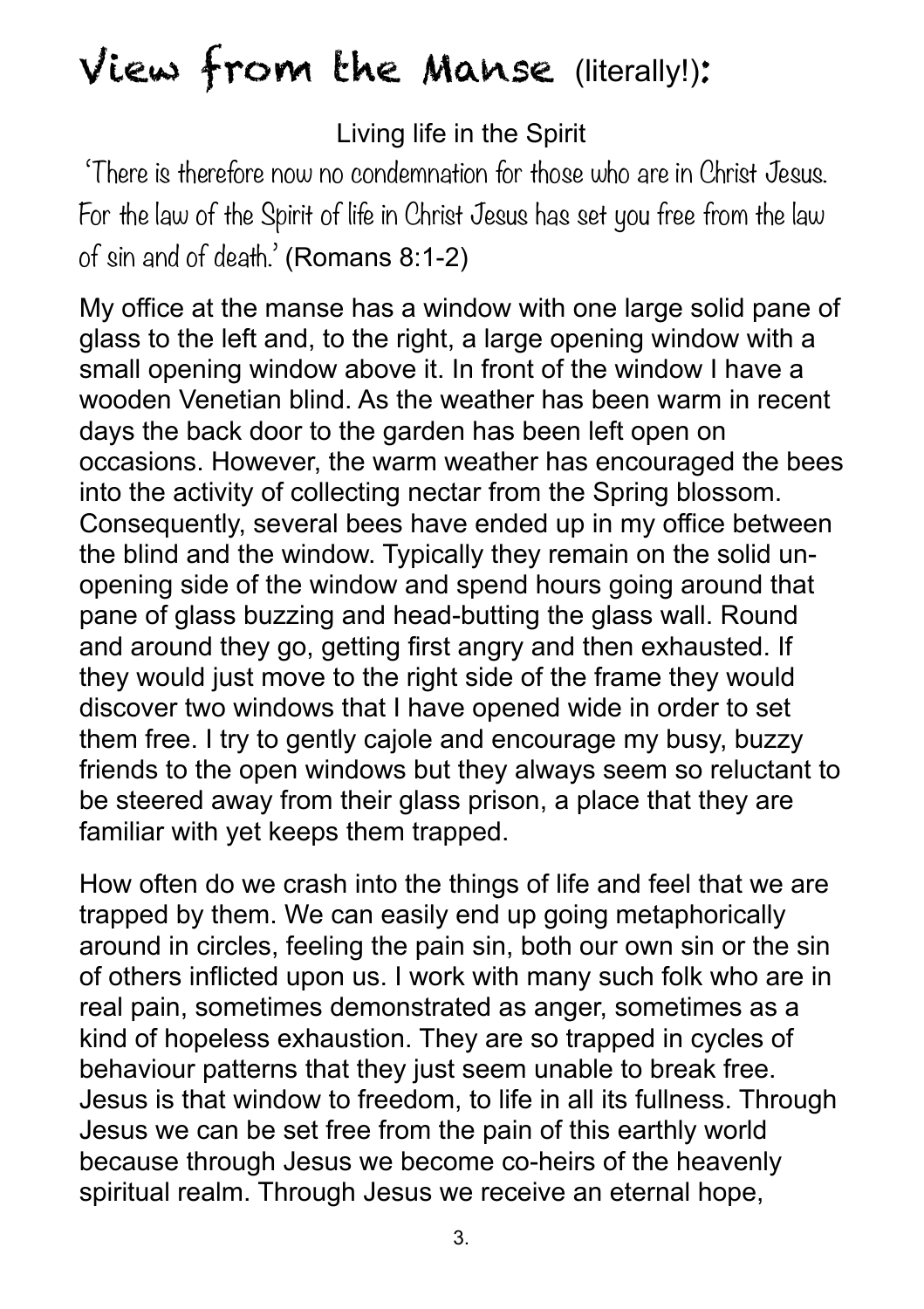# View from the Manse (literally!):

#### Living life in the Spirit

'There is therefore now no condemnation for those who are in Christ Jesus. For the law of the Spirit of life in Christ Jesus has set you free from the law of sin and of death.' (Romans 8:1-2)

 My office at the manse has a window with one large solid pane of glass to the left and, to the right, a large opening window with a small opening window above it. In front of the window I have a wooden Venetian blind. As the weather has been warm in recent days the back door to the garden has been left open on occasions. However, the warm weather has encouraged the bees into the activity of collecting nectar from the Spring blossom. Consequently, several bees have ended up in my office between the blind and the window. Typically they remain on the solid unopening side of the window and spend hours going around that pane of glass buzzing and head-butting the glass wall. Round and around they go, getting first angry and then exhausted. If they would just move to the right side of the frame they would discover two windows that I have opened wide in order to set them free. I try to gently cajole and encourage my busy, buzzy friends to the open windows but they always seem so reluctant to be steered away from their glass prison, a place that they are familiar with yet keeps them trapped.

How often do we crash into the things of life and feel that we are trapped by them. We can easily end up going metaphorically around in circles, feeling the pain sin, both our own sin or the sin of others inflicted upon us. I work with many such folk who are in real pain, sometimes demonstrated as anger, sometimes as a kind of hopeless exhaustion. They are so trapped in cycles of behaviour patterns that they just seem unable to break free. Jesus is that window to freedom, to life in all its fullness. Through Jesus we can be set free from the pain of this earthly world because through Jesus we become co-heirs of the heavenly spiritual realm. Through Jesus we receive an eternal hope,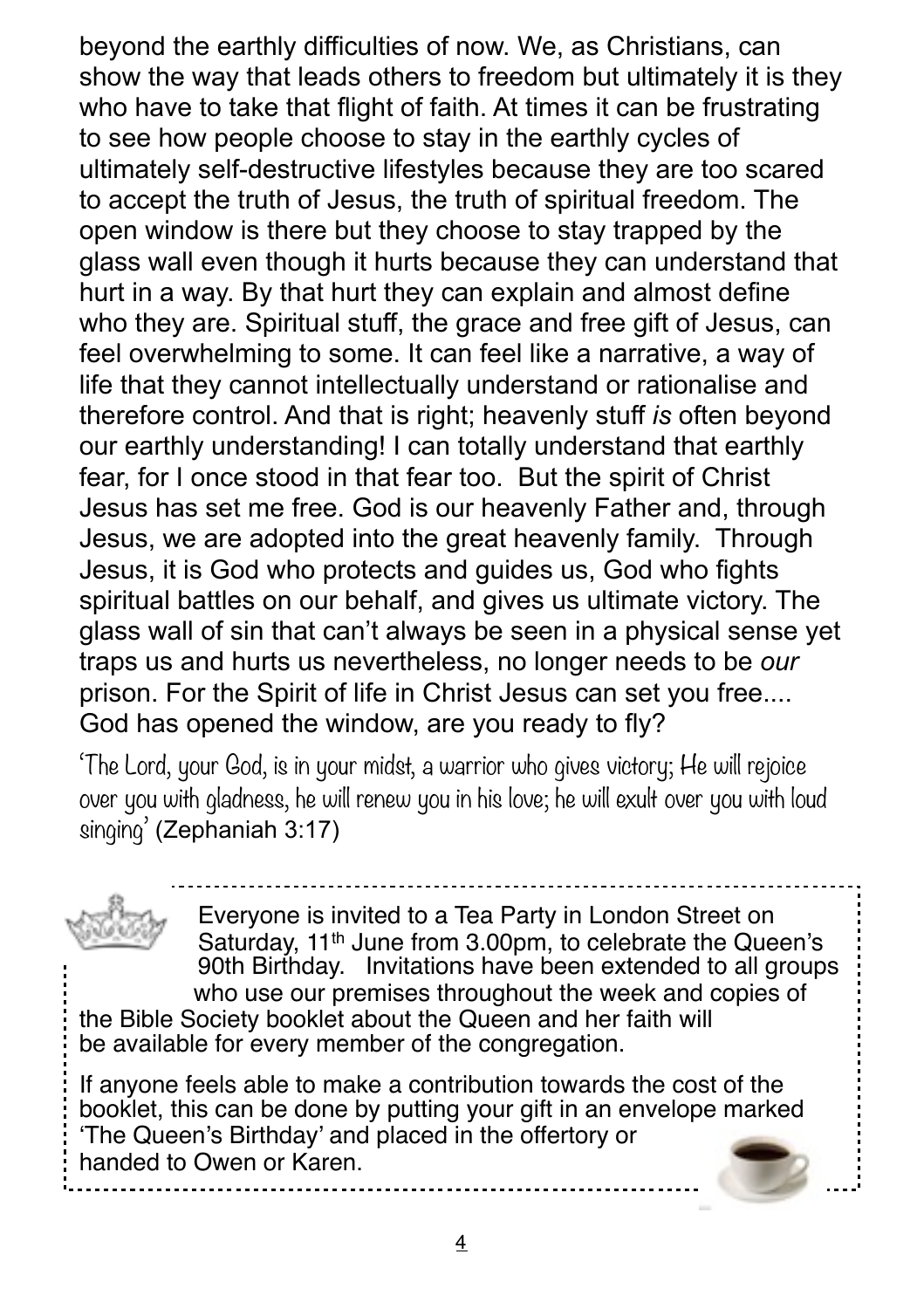beyond the earthly difficulties of now. We, as Christians, can show the way that leads others to freedom but ultimately it is they who have to take that flight of faith. At times it can be frustrating to see how people choose to stay in the earthly cycles of ultimately self-destructive lifestyles because they are too scared to accept the truth of Jesus, the truth of spiritual freedom. The open window is there but they choose to stay trapped by the glass wall even though it hurts because they can understand that hurt in a way. By that hurt they can explain and almost define who they are. Spiritual stuff, the grace and free gift of Jesus, can feel overwhelming to some. It can feel like a narrative, a way of life that they cannot intellectually understand or rationalise and therefore control. And that is right; heavenly stuff *is* often beyond our earthly understanding! I can totally understand that earthly fear, for I once stood in that fear too. But the spirit of Christ Jesus has set me free. God is our heavenly Father and, through Jesus, we are adopted into the great heavenly family. Through Jesus, it is God who protects and guides us, God who fights spiritual battles on our behalf, and gives us ultimate victory. The glass wall of sin that can't always be seen in a physical sense yet traps us and hurts us nevertheless, no longer needs to be *our*  prison. For the Spirit of life in Christ Jesus can set you free.... God has opened the window, are you ready to fly?

'The Lord, your God, is in your midst, a warrior who gives victory; He will rejoice over you with gladness, he will renew you in his love; he will exult over you with loud singing' [\(Zephaniah 3:17\)](https://www.biblegateway.com/passage/?version=NRSV&search=Zephaniah%25203:17)

Everyone is invited to a Tea Party in London Street on Saturday, 11<sup>th</sup> June from 3.00pm, to celebrate the Queen's 90th Birthday. Invitations have been extended to all groups who use our premises throughout the week and copies of the Bible Society booklet about the Queen and her faith will be available for every member of the congregation.

If anyone feels able to make a contribution towards the cost of the booklet, this can be done by putting your gift in an envelope marked 'The Queen's Birthday' and placed in the offertory or handed to Owen or Karen.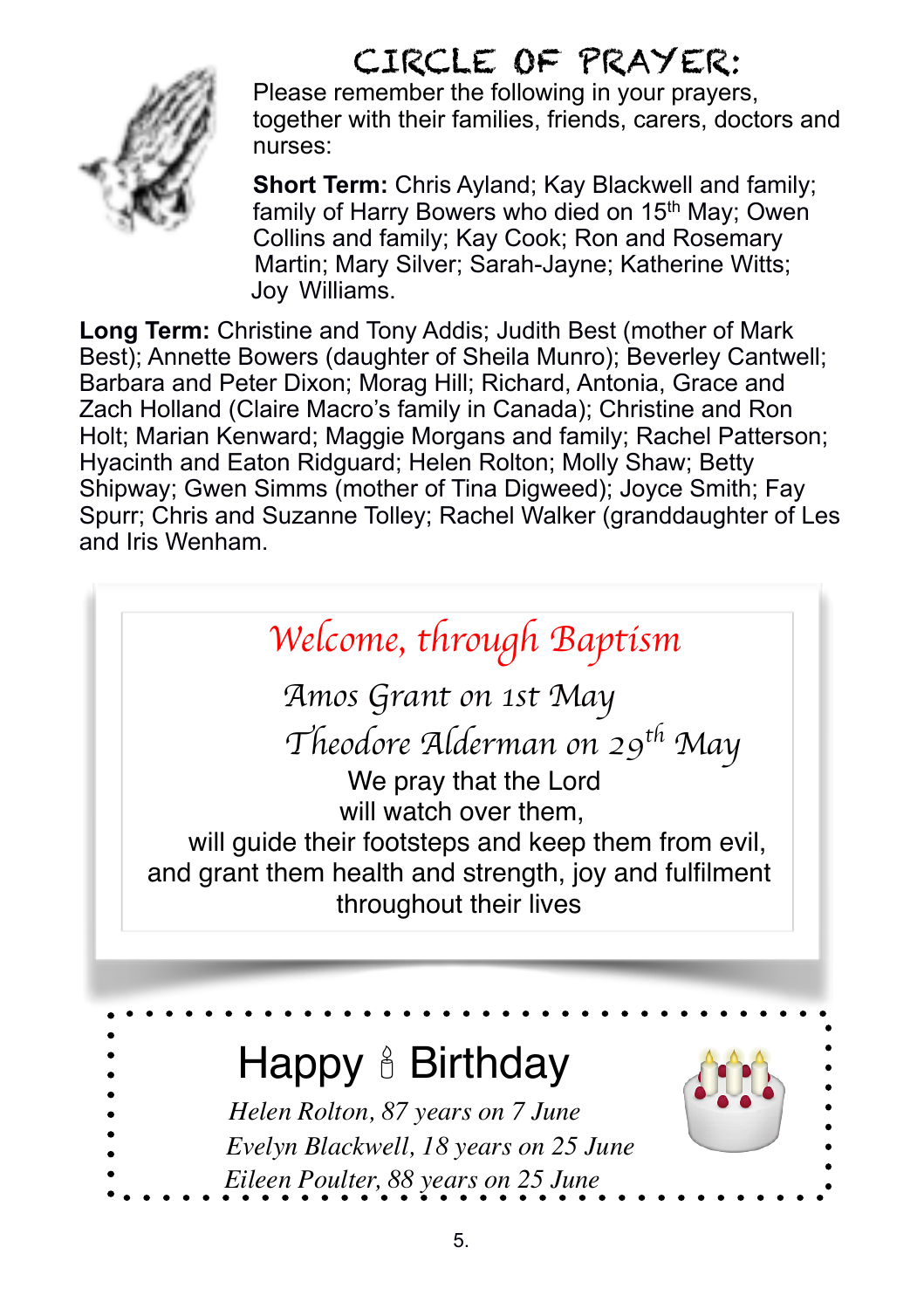### CIRCLE OF PRAYER:



Please remember the following in your prayers, together with their families, friends, carers, doctors and nurses:

**Short Term: Chris Ayland: Kay Blackwell and family:** family of Harry Bowers who died on 15<sup>th</sup> May: Owen Collins and family; Kay Cook; Ron and Rosemary Martin; Mary Silver; Sarah-Jayne; Katherine Witts; Joy Williams.

**Long Term:** Christine and Tony Addis; Judith Best (mother of Mark Best); Annette Bowers (daughter of Sheila Munro); Beverley Cantwell; Barbara and Peter Dixon; Morag Hill; Richard, Antonia, Grace and Zach Holland (Claire Macro's family in Canada); Christine and Ron Holt; Marian Kenward; Maggie Morgans and family; Rachel Patterson; Hyacinth and Eaton Ridguard; Helen Rolton; Molly Shaw; Betty Shipway; Gwen Simms (mother of Tina Digweed); Joyce Smith; Fay Spurr; Chris and Suzanne Tolley; Rachel Walker (granddaughter of Les and Iris Wenham.



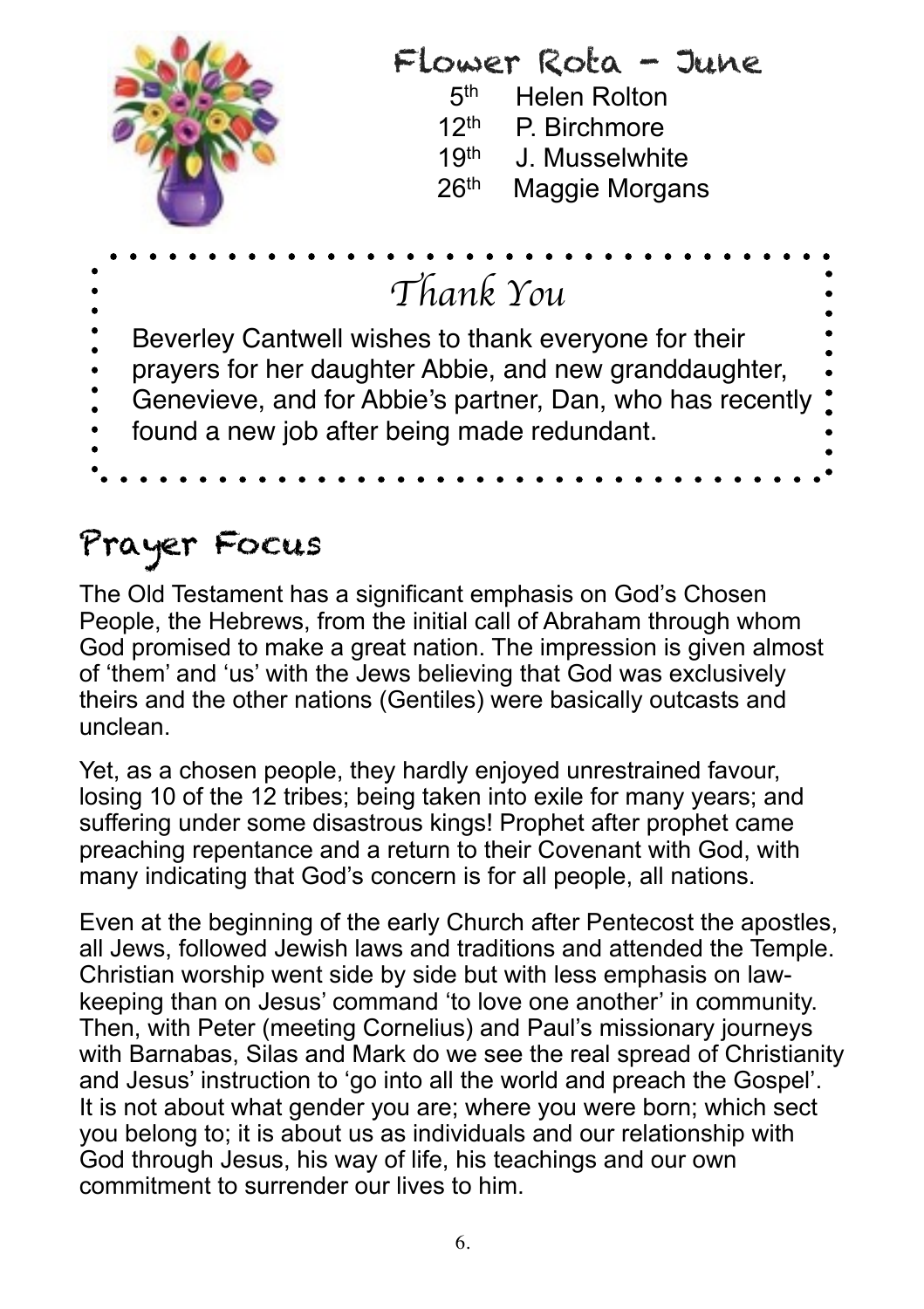

### Prayer Focus

The Old Testament has a significant emphasis on God's Chosen People, the Hebrews, from the initial call of Abraham through whom God promised to make a great nation. The impression is given almost of 'them' and 'us' with the Jews believing that God was exclusively theirs and the other nations (Gentiles) were basically outcasts and unclean.

Yet, as a chosen people, they hardly enjoyed unrestrained favour, losing 10 of the 12 tribes; being taken into exile for many years; and suffering under some disastrous kings! Prophet after prophet came preaching repentance and a return to their Covenant with God, with many indicating that God's concern is for all people, all nations.

Even at the beginning of the early Church after Pentecost the apostles, all Jews, followed Jewish laws and traditions and attended the Temple. Christian worship went side by side but with less emphasis on lawkeeping than on Jesus' command 'to love one another' in community. Then, with Peter (meeting Cornelius) and Paul's missionary journeys with Barnabas, Silas and Mark do we see the real spread of Christianity and Jesus' instruction to 'go into all the world and preach the Gospel'. It is not about what gender you are; where you were born; which sect you belong to; it is about us as individuals and our relationship with God through Jesus, his way of life, his teachings and our own commitment to surrender our lives to him.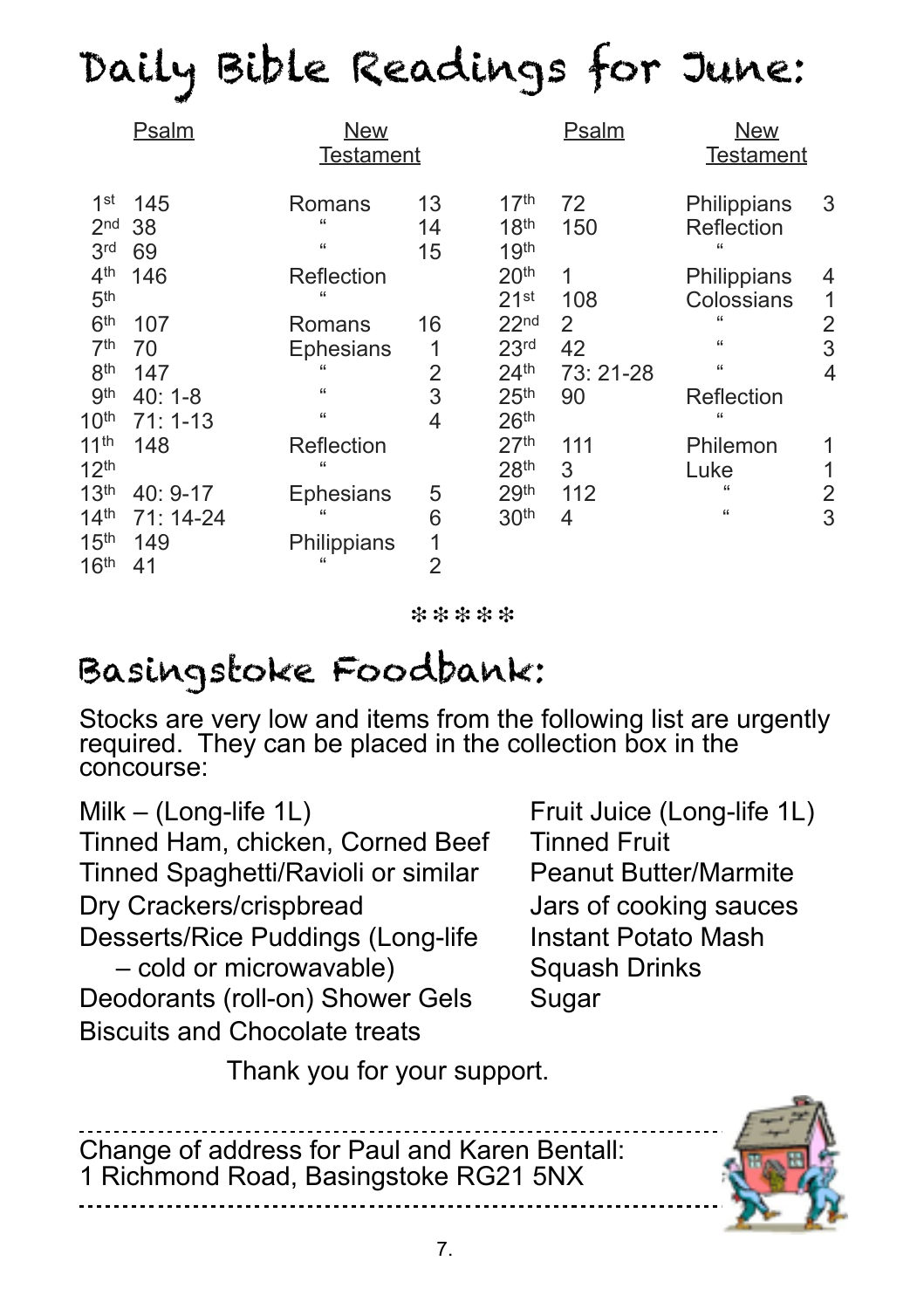# Daily Bible Readings for June:

|                                                       | <b>Psalm</b>              | <b>New</b><br><b>Testament</b>         |                |                                                          | <b>Psalm</b> | <b>New</b><br><b>Testament</b>           |        |
|-------------------------------------------------------|---------------------------|----------------------------------------|----------------|----------------------------------------------------------|--------------|------------------------------------------|--------|
| 1 <sup>st</sup><br>2 <sub>nd</sub><br>3 <sup>rd</sup> | 145<br>38<br>69           | Romans<br>$\epsilon$<br>$\mathfrak{c}$ | 13<br>14<br>15 | 17 <sup>th</sup><br>18 <sup>th</sup><br>19 <sup>th</sup> | 72<br>150    | Philippians<br>Reflection<br>66          | 3      |
| 4 <sup>th</sup><br>5 <sup>th</sup>                    | 146                       | Reflection<br>$\epsilon$               |                | 20 <sup>th</sup><br>21 <sup>st</sup>                     | 1<br>108     | Philippians<br>Colossians                | 4<br>1 |
| 6 <sup>th</sup><br>7 <sup>th</sup>                    | 107<br>70                 | Romans<br><b>Ephesians</b>             | 16<br>1        | 22 <sub>nd</sub><br>23 <sup>rd</sup>                     | 2<br>42      | $\epsilon$<br>$\mathfrak{c}$             | 2<br>3 |
| 8 <sup>th</sup>                                       | 147                       |                                        | 2              | 24 <sup>th</sup>                                         | 73: 21-28    | 66                                       | 4      |
| <b>gth</b><br>10 <sup>th</sup>                        | $40:1 - 8$<br>$71:1 - 13$ | $\mathfrak{c}$<br>$\mathfrak{c}$       | 3<br>4         | 25 <sup>th</sup><br>26 <sup>th</sup>                     | 90           | Reflection<br>$\epsilon$                 |        |
| 11 <sup>th</sup><br>12 <sup>th</sup>                  | 148                       | Reflection<br>$\epsilon$               |                | 27 <sup>th</sup><br>28 <sup>th</sup>                     | 111<br>3     | Philemon<br>Luke                         |        |
| 13 <sup>th</sup><br>14 <sup>th</sup>                  | 40: 9-17<br>71: 14-24     | Ephesians<br>"                         | 5<br>6         | 29th<br>30 <sup>th</sup>                                 | 112<br>4     | $\mathfrak{c}\mathfrak{c}$<br>$\epsilon$ | 2<br>3 |
| 15 <sup>th</sup><br>16 <sup>th</sup>                  | 149<br>41                 | Philippians<br>$\epsilon$              | 1<br>2         |                                                          |              |                                          |        |

❉ ❉ ❉ ❉ ❉

# Basingstoke Foodbank:

Stocks are very low and items from the following list are urgently required. They can be placed in the collection box in the concourse:

Milk – (Long-life 1L) Fruit Juice (Long-life 1L) Tinned Ham, chicken, Corned Beef Tinned Fruit Tinned Spaghetti/Ravioli or similar Peanut Butter/Marmite Dry Crackers/crispbread Jars of cooking sauces Desserts/Rice Puddings (Long-life Instant Potato Mash – cold or microwavable) Squash Drinks Deodorants (roll-on) Shower Gels Sugar Biscuits and Chocolate treats

Thank you for your support.

Change of address for Paul and Karen Bentall: 1 Richmond Road, Basingstoke RG21 5NX

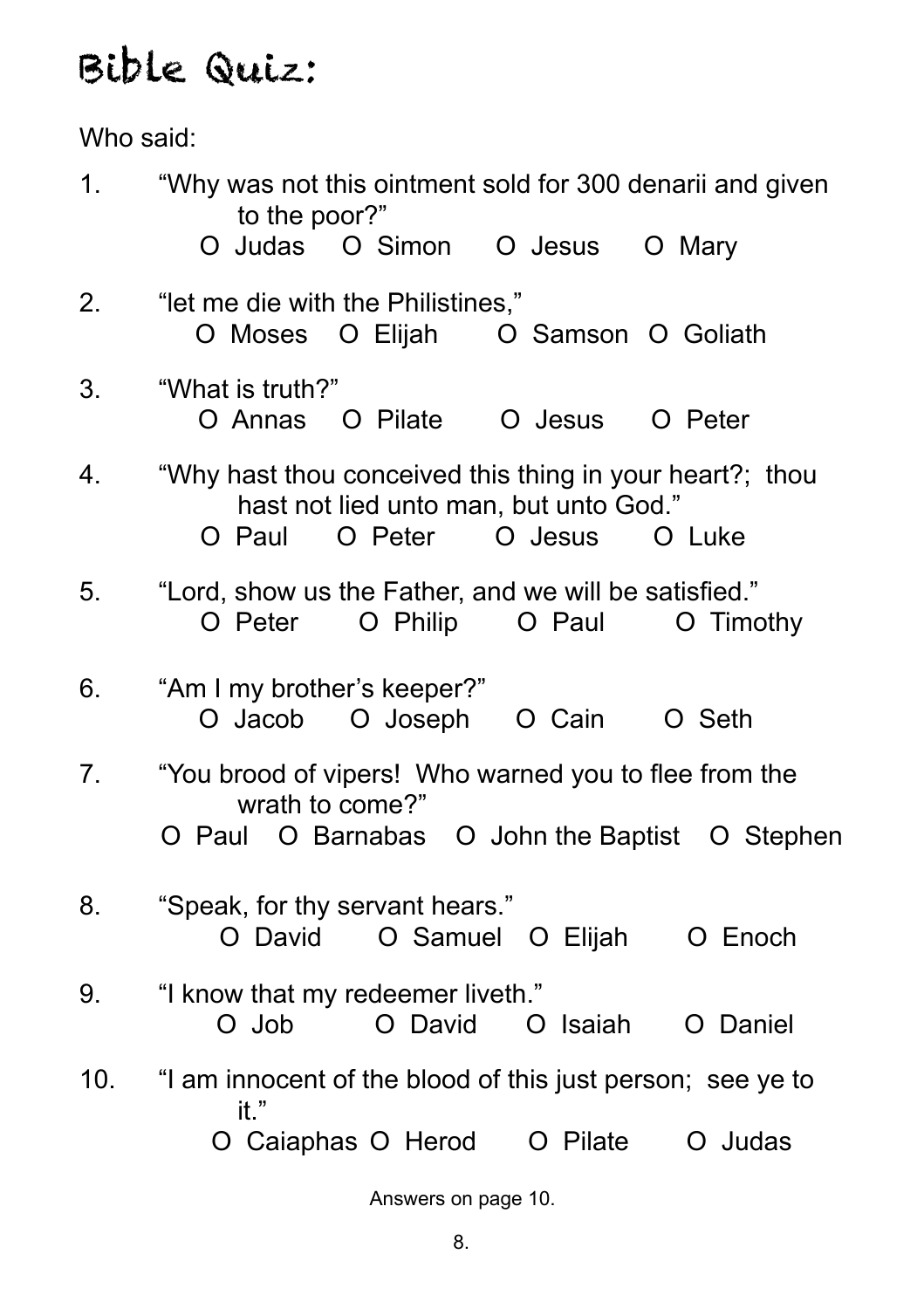# Bible Quiz:

Who said:

| 1.  | "Why was not this ointment sold for 300 denarii and given<br>to the poor?"                                                                   |
|-----|----------------------------------------------------------------------------------------------------------------------------------------------|
|     | O Judas O Simon O Jesus<br>O Mary                                                                                                            |
| 2.  | "let me die with the Philistines,"<br>O Moses O Elijah O Samson O Goliath                                                                    |
| 3.  | "What is truth?"<br>O Annas O Pilate O Jesus<br>O Peter                                                                                      |
| 4.  | "Why hast thou conceived this thing in your heart?; thou<br>hast not lied unto man, but unto God."<br>O Peter<br>O Jesus<br>O Paul<br>O Luke |
| 5.  | "Lord, show us the Father, and we will be satisfied."<br>O Philip O Paul<br>O Peter<br>O Timothy                                             |
| 6.  | "Am I my brother's keeper?"<br>O Jacob O Joseph O Cain O Seth                                                                                |
| 7.  | "You brood of vipers! Who warned you to flee from the<br>wrath to come?"<br>O Paul O Barnabas O John the Baptist O Stephen                   |
| 8.  | "Speak, for thy servant hears."<br>O Samuel O Elijah<br>O David<br>O Enoch                                                                   |
| 9.  | "I know that my redeemer liveth."<br>O David<br>O Job<br>O Isaiah<br>O Daniel                                                                |
| 10. | "I am innocent of the blood of this just person; see ye to<br>it."                                                                           |
|     | O Caiaphas O Herod O Pilate<br>O Judas                                                                                                       |
|     | $\Lambda$ is seen as $\Lambda$<br>$-222$                                                                                                     |

Answers on page 10.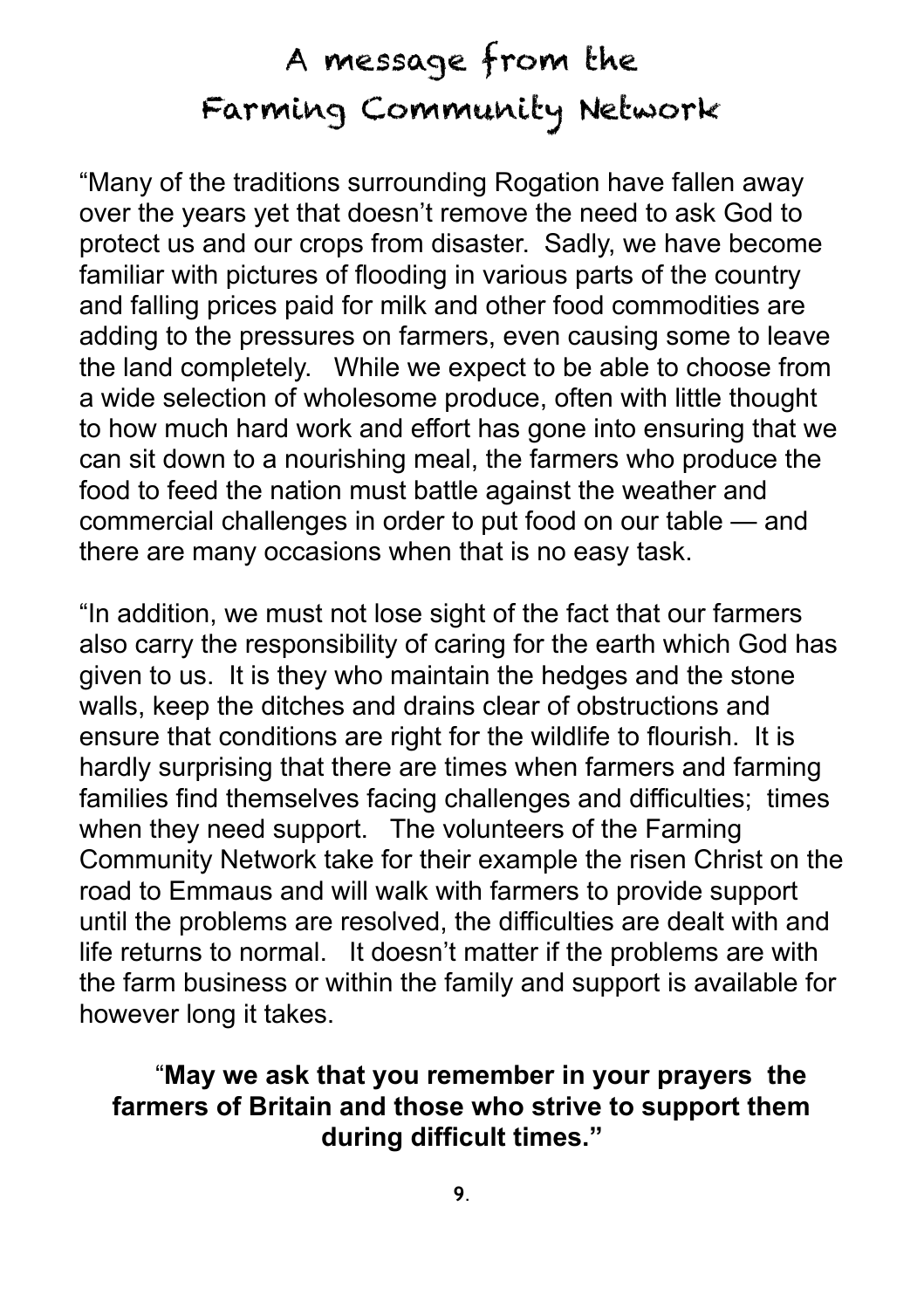## A message from the Farming Community Network

"Many of the traditions surrounding Rogation have fallen away over the years yet that doesn't remove the need to ask God to protect us and our crops from disaster. Sadly, we have become familiar with pictures of flooding in various parts of the country and falling prices paid for milk and other food commodities are adding to the pressures on farmers, even causing some to leave the land completely. While we expect to be able to choose from a wide selection of wholesome produce, often with little thought to how much hard work and effort has gone into ensuring that we can sit down to a nourishing meal, the farmers who produce the food to feed the nation must battle against the weather and commercial challenges in order to put food on our table — and there are many occasions when that is no easy task.

"In addition, we must not lose sight of the fact that our farmers also carry the responsibility of caring for the earth which God has given to us. It is they who maintain the hedges and the stone walls, keep the ditches and drains clear of obstructions and ensure that conditions are right for the wildlife to flourish. It is hardly surprising that there are times when farmers and farming families find themselves facing challenges and difficulties; times when they need support. The volunteers of the Farming Community Network take for their example the risen Christ on the road to Emmaus and will walk with farmers to provide support until the problems are resolved, the difficulties are dealt with and life returns to normal. It doesn't matter if the problems are with the farm business or within the family and support is available for however long it takes.

#### "**May we ask that you remember in your prayers the farmers of Britain and those who strive to support them during difficult times."**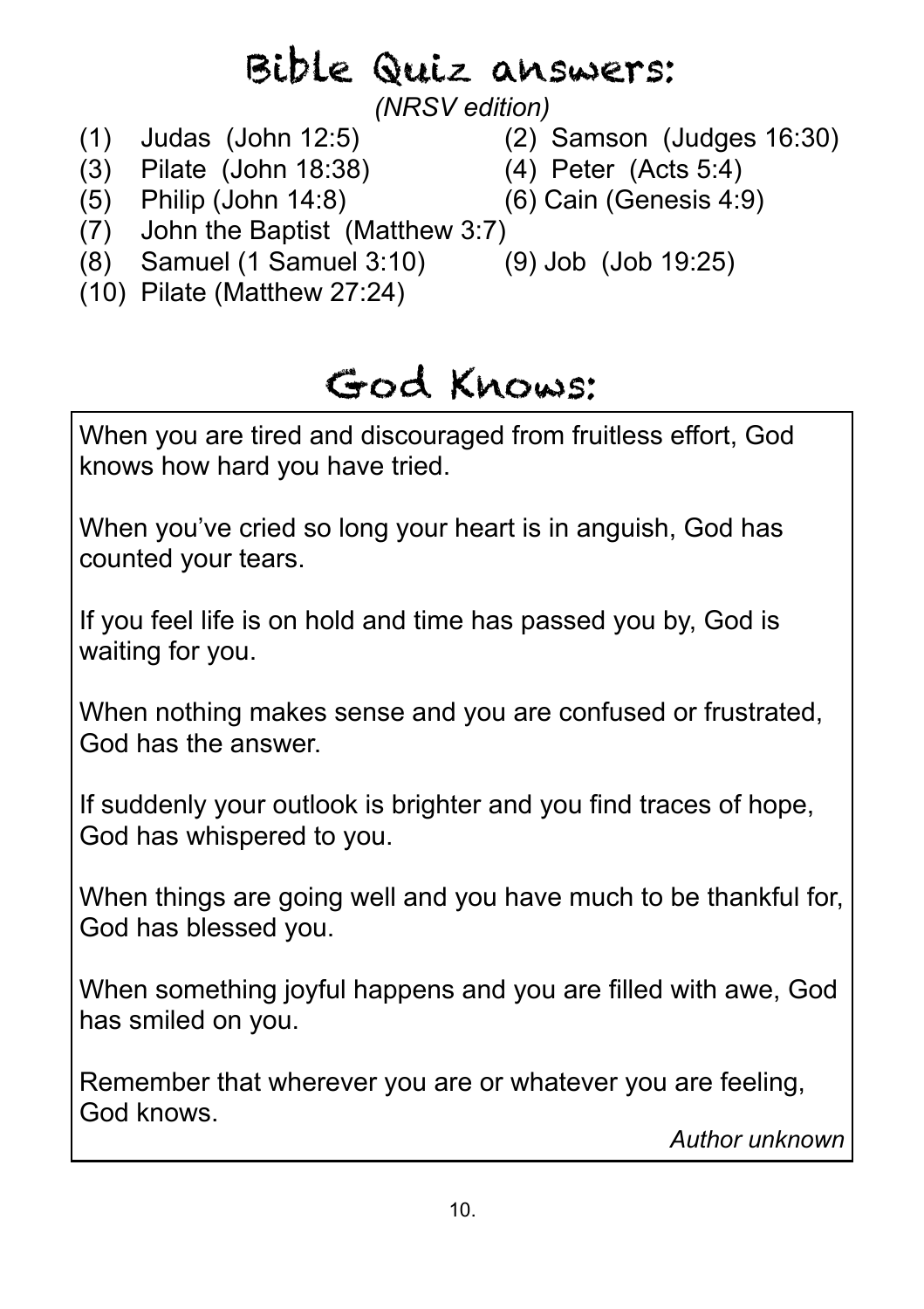# Bible Quiz answers:

*(NRSV edition)* 

- 
- (1) Judas (John 12:5) (2) Samson (Judges 16:30)
- (3) Pilate (John 18:38) (4) Peter (Acts 5:4)
	-
- (5) Philip (John 14:8) (6) Cain (Genesis 4:9)
- (7) John the Baptist (Matthew 3:7)
- (8) Samuel (1 Samuel 3:10) (9) Job (Job 19:25)
	-
- (10) Pilate (Matthew 27:24)

# God Knows:

When you are tired and discouraged from fruitless effort, God knows how hard you have tried.

When you've cried so long your heart is in anguish, God has counted your tears.

If you feel life is on hold and time has passed you by, God is waiting for you.

When nothing makes sense and you are confused or frustrated, God has the answer.

If suddenly your outlook is brighter and you find traces of hope, God has whispered to you.

When things are going well and you have much to be thankful for, God has blessed you.

When something joyful happens and you are filled with awe, God has smiled on you.

Remember that wherever you are or whatever you are feeling, God knows.

*Author unknown*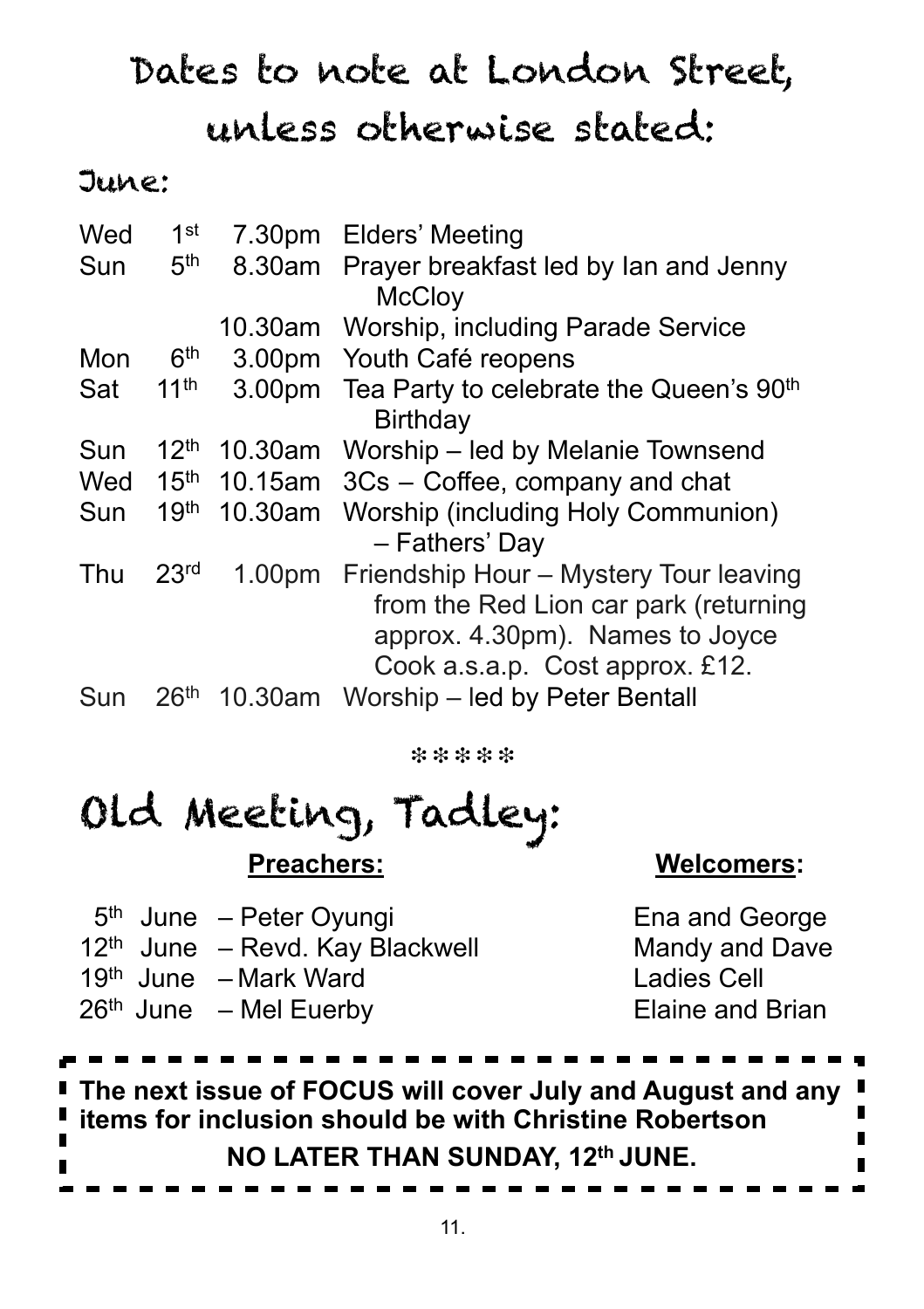# Dates to note at London Street, unless otherwise stated:

### June:

| Wed | 1 <sup>st</sup>  |                    | 7.30pm Elders' Meeting                                                                                                                                |
|-----|------------------|--------------------|-------------------------------------------------------------------------------------------------------------------------------------------------------|
| Sun | 5 <sup>th</sup>  | 8.30am             | Prayer breakfast led by lan and Jenny<br><b>McCloy</b>                                                                                                |
|     |                  | 10.30am            | Worship, including Parade Service                                                                                                                     |
| Mon | 6 <sup>th</sup>  | 3.00 <sub>pm</sub> | Youth Café reopens                                                                                                                                    |
| Sat | 11 <sup>th</sup> | 3.00 <sub>pm</sub> | Tea Party to celebrate the Queen's 90 <sup>th</sup><br>Birthday                                                                                       |
| Sun | 12 <sup>th</sup> | 10.30am            | Worship – led by Melanie Townsend                                                                                                                     |
| Wed | 15 <sup>th</sup> | 10.15am            | 3Cs – Coffee, company and chat                                                                                                                        |
| Sun | 19 <sup>th</sup> | 10.30am            | <b>Worship (including Holy Communion)</b><br>- Fathers' Day                                                                                           |
| Thu | 23 <sup>rd</sup> | 1.00 <sub>pm</sub> | Friendship Hour - Mystery Tour leaving<br>from the Red Lion car park (returning<br>approx. 4.30pm). Names to Joyce<br>Cook a.s.a.p. Cost approx. £12. |
| Sun | 26 <sup>th</sup> | 10.30am            | Worship – led by Peter Bentall                                                                                                                        |

❉ ❉ ❉ ❉ ❉

# Old Meeting, Tadley: **Preachers: Welcomers:**

|  | $5th$ June – Peter Oyungi       |
|--|---------------------------------|
|  | 12th June - Revd. Kay Blackwell |
|  | $19th$ June - Mark Ward         |
|  | $26th$ June $-$ Mel Euerby      |

Ena and George Mandy and Dave **Ladies Cell** Elaine and Brian